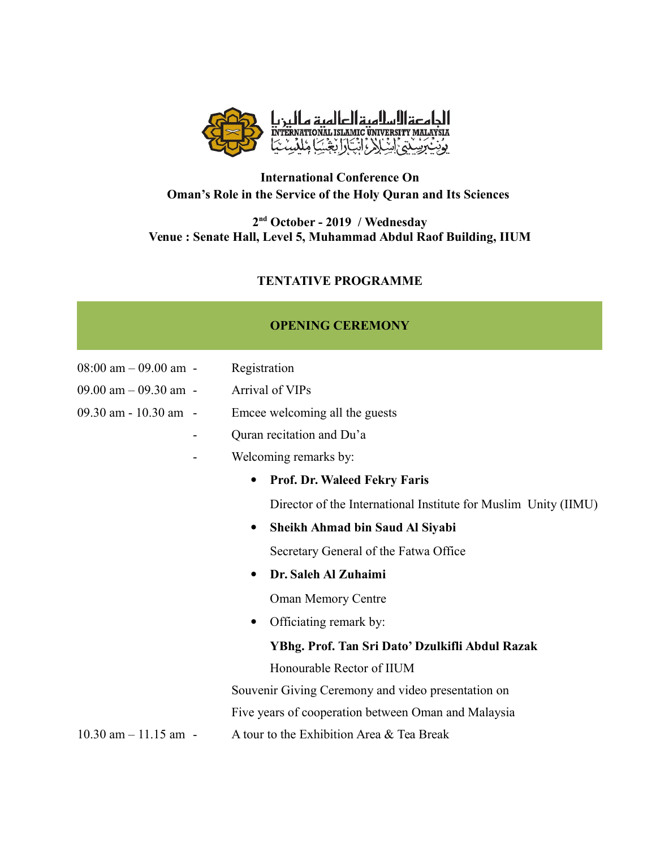

# **International Conference On Oman's Role in the Service of the Holy Quran and Its Sciences**

#### **2 nd October - 2019 / Wednesday Venue : Senate Hall, Level 5, Muhammad Abdul Raof Building, IIUM**

### **TENTATIVE PROGRAMME**

### **OPENING CEREMONY**

| $08:00$ am $-09.00$ am -   | Registration                                                    |
|----------------------------|-----------------------------------------------------------------|
| $09.00$ am $-09.30$ am $-$ | Arrival of VIPs                                                 |
| 09.30 am - 10.30 am -      | Emcee welcoming all the guests                                  |
| -                          | Quran recitation and Du'a                                       |
|                            | Welcoming remarks by:                                           |
|                            | <b>Prof. Dr. Waleed Fekry Faris</b><br>$\bullet$                |
|                            | Director of the International Institute for Muslim Unity (IIMU) |
|                            | Sheikh Ahmad bin Saud Al Siyabi                                 |
|                            | Secretary General of the Fatwa Office                           |
|                            | Dr. Saleh Al Zuhaimi<br>$\bullet$                               |
|                            | <b>Oman Memory Centre</b>                                       |
|                            | Officiating remark by:<br>$\bullet$                             |
|                            | YBhg. Prof. Tan Sri Dato' Dzulkifli Abdul Razak                 |
|                            | Honourable Rector of IIUM                                       |
|                            | Souvenir Giving Ceremony and video presentation on              |
|                            | Five years of cooperation between Oman and Malaysia             |
| $10.30$ am $-11.15$ am $-$ | A tour to the Exhibition Area & Tea Break                       |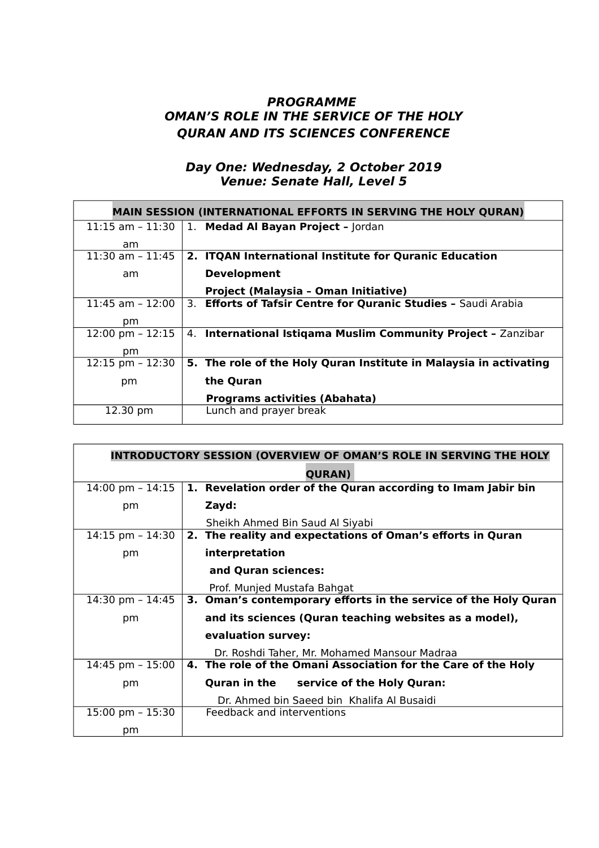# **PROGRAMME OMAN'S ROLE IN THE SERVICE OF THE HOLY QURAN AND ITS SCIENCES CONFERENCE**

#### **Day One: Wednesday, 2 October 2019 Venue: Senate Hall, Level 5**

| <b>MAIN SESSION (INTERNATIONAL EFFORTS IN SERVING THE HOLY QURAN)</b> |                                                                   |  |
|-----------------------------------------------------------------------|-------------------------------------------------------------------|--|
| $11:15$ am - $11:30$                                                  | 1. Medad Al Bayan Project - Jordan                                |  |
| am                                                                    |                                                                   |  |
| $11:30$ am - 11:45                                                    | 2. ITQAN International Institute for Quranic Education            |  |
| am                                                                    | <b>Development</b>                                                |  |
|                                                                       | Project (Malaysia - Oman Initiative)                              |  |
| $11:45$ am $-12:00$                                                   | 3. Efforts of Tafsir Centre for Quranic Studies - Saudi Arabia    |  |
| pm.                                                                   |                                                                   |  |
| $12:00 \text{ pm} - 12:15$                                            | International Istiqama Muslim Community Project - Zanzibar<br>4.  |  |
| pm                                                                    |                                                                   |  |
| $12:15$ pm $-12:30$                                                   | 5. The role of the Holy Quran Institute in Malaysia in activating |  |
| pm                                                                    | the Quran                                                         |  |
|                                                                       | <b>Programs activities (Abahata)</b>                              |  |
| 12.30 pm                                                              | Lunch and prayer break                                            |  |

| <b>INTRODUCTORY SESSION (OVERVIEW OF OMAN'S ROLE IN SERVING THE HOLY</b> |                                                                 |  |
|--------------------------------------------------------------------------|-----------------------------------------------------------------|--|
|                                                                          | <b>QURAN</b> )                                                  |  |
| $14:00 \text{ pm} - 14:15$                                               | 1. Revelation order of the Quran according to Imam Jabir bin    |  |
| pm                                                                       | Zayd:                                                           |  |
|                                                                          | Sheikh Ahmed Bin Saud Al Siyabi                                 |  |
| $14:15$ pm - $14:30$                                                     | 2. The reality and expectations of Oman's efforts in Quran      |  |
| pm                                                                       | interpretation                                                  |  |
|                                                                          | and Quran sciences:                                             |  |
|                                                                          | Prof. Munjed Mustafa Bahgat                                     |  |
| 14:30 pm $- 14:45$                                                       | 3. Oman's contemporary efforts in the service of the Holy Quran |  |
| pm                                                                       | and its sciences (Quran teaching websites as a model),          |  |
|                                                                          | evaluation survey:                                              |  |
|                                                                          | Dr. Roshdi Taher, Mr. Mohamed Mansour Madraa                    |  |
| $14:45$ pm - $15:00$                                                     | 4. The role of the Omani Association for the Care of the Holy   |  |
| pm                                                                       | Quran in the service of the Holy Quran:                         |  |
|                                                                          | Dr. Ahmed bin Saeed bin Khalifa Al Busaidi                      |  |
| $15:00 \text{ pm} - 15:30$                                               | Feedback and interventions                                      |  |
| pm                                                                       |                                                                 |  |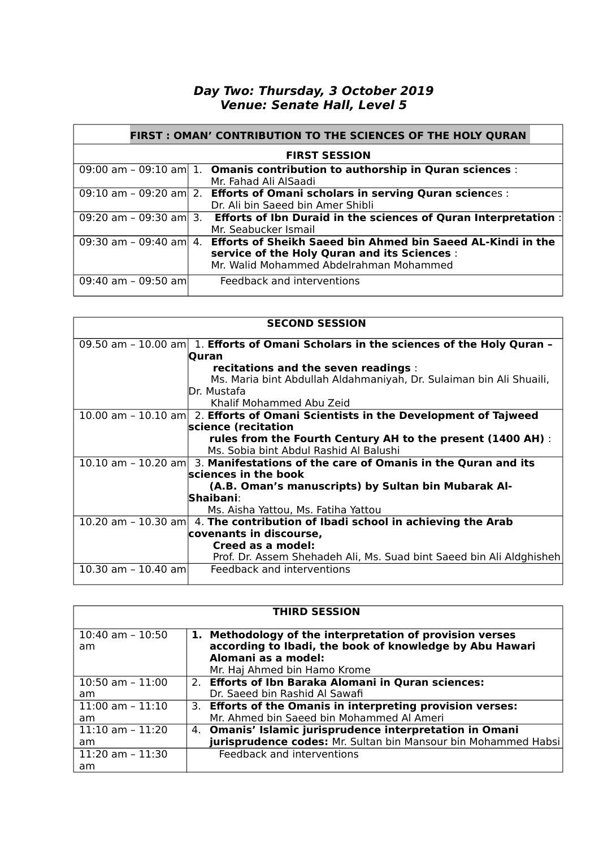## **Day Two: Thursday, 3 October 2019 Venue: Senate Hall, Level 5**

| FIRST : OMAN' CONTRIBUTION TO THE SCIENCES OF THE HOLY QURAN |  |                                                                                        |  |
|--------------------------------------------------------------|--|----------------------------------------------------------------------------------------|--|
| <b>FIRST SESSION</b>                                         |  |                                                                                        |  |
|                                                              |  | 09:00 am - 09:10 am 1. Omanis contribution to authorship in Quran sciences :           |  |
|                                                              |  | Mr. Fahad Ali AlSaadi                                                                  |  |
|                                                              |  | 09:10 am - 09:20 am 2. Efforts of Omani scholars in serving Quran sciences :           |  |
|                                                              |  | Dr. Ali bin Saeed bin Amer Shibli                                                      |  |
|                                                              |  | 09:20 am - 09:30 am 3. Efforts of Ibn Duraid in the sciences of Quran Interpretation : |  |
|                                                              |  | Mr. Seabucker Ismail                                                                   |  |
|                                                              |  | 09:30 am - 09:40 am 4. Efforts of Sheikh Saeed bin Ahmed bin Saeed AL-Kindi in the     |  |
|                                                              |  | service of the Holy Quran and its Sciences :                                           |  |
|                                                              |  | Mr. Walid Mohammed Abdelrahman Mohammed                                                |  |
| 09:40 am - 09:50 am                                          |  | Feedback and interventions                                                             |  |
|                                                              |  |                                                                                        |  |

| <b>SECOND SESSION</b> |                                                                                              |  |
|-----------------------|----------------------------------------------------------------------------------------------|--|
|                       | 09.50 am - 10.00 am $\vert$ 1. Efforts of Omani Scholars in the sciences of the Holy Quran - |  |
|                       | <b>Ouran</b>                                                                                 |  |
|                       | recitations and the seven readings :                                                         |  |
|                       | Ms. Maria bint Abdullah Aldahmaniyah, Dr. Sulaiman bin Ali Shuaili,                          |  |
|                       | IDr. Mustafa                                                                                 |  |
|                       | Khalif Mohammed Abu Zeid                                                                     |  |
|                       | $10.00$ am - $10.10$ am 2. Efforts of Omani Scientists in the Development of Tajweed         |  |
|                       | science (recitation                                                                          |  |
|                       | rules from the Fourth Century AH to the present (1400 AH) :                                  |  |
|                       | Ms. Sobia bint Abdul Rashid Al Balushi                                                       |  |
|                       | $10.10$ am - 10.20 am 3. Manifestations of the care of Omanis in the Quran and its           |  |
|                       | sciences in the book                                                                         |  |
|                       | (A.B. Oman's manuscripts) by Sultan bin Mubarak Al-                                          |  |
|                       | $\sf Shaibani$ :                                                                             |  |
|                       | Ms. Aisha Yattou, Ms. Fatiha Yattou                                                          |  |
|                       | 10.20 am - 10.30 am $ 4$ . The contribution of Ibadi school in achieving the Arab            |  |
|                       | covenants in discourse,                                                                      |  |
|                       | Creed as a model:                                                                            |  |
|                       | Prof. Dr. Assem Shehadeh Ali, Ms. Suad bint Saeed bin Ali Aldghisheh                         |  |
| 10.30 am - 10.40 am   | Feedback and interventions                                                                   |  |
|                       |                                                                                              |  |

| <b>THIRD SESSION</b>       |  |                                                                                                                                                                            |
|----------------------------|--|----------------------------------------------------------------------------------------------------------------------------------------------------------------------------|
| $10:40$ am - $10:50$<br>am |  | 1. Methodology of the interpretation of provision verses<br>according to Ibadi, the book of knowledge by Abu Hawari<br>Alomani as a model:<br>Mr. Haj Ahmed bin Hamo Krome |
| $10:50$ am - $11:00$       |  | 2. Efforts of Ibn Baraka Alomani in Quran sciences:                                                                                                                        |
| am                         |  | Dr. Saeed bin Rashid Al Sawafi                                                                                                                                             |
| $11:00$ am - $11:10$       |  | 3. Efforts of the Omanis in interpreting provision verses:                                                                                                                 |
| am                         |  | Mr. Ahmed bin Saeed bin Mohammed Al Ameri                                                                                                                                  |
| $11:10$ am - $11:20$       |  | 4. Omanis' Islamic jurisprudence interpretation in Omani                                                                                                                   |
| am                         |  | jurisprudence codes: Mr. Sultan bin Mansour bin Mohammed Habsi                                                                                                             |
| $11:20$ am - $11:30$       |  | Feedback and interventions                                                                                                                                                 |
| am                         |  |                                                                                                                                                                            |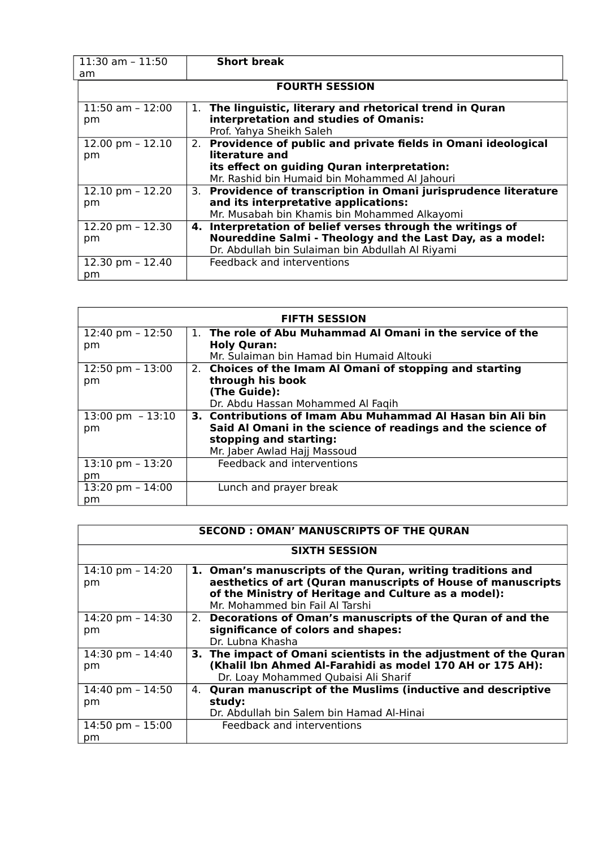| $11:30$ am - $11:50$  | <b>Short break</b>                                                 |  |
|-----------------------|--------------------------------------------------------------------|--|
| am                    |                                                                    |  |
| <b>FOURTH SESSION</b> |                                                                    |  |
| $11:50$ am - $12:00$  | The linguistic, literary and rhetorical trend in Quran<br>1.       |  |
| pm                    | interpretation and studies of Omanis:                              |  |
|                       | Prof. Yahya Sheikh Saleh                                           |  |
| 12.00 pm $- 12.10$    | Providence of public and private fields in Omani ideological<br>2. |  |
| pm                    | literature and                                                     |  |
|                       | its effect on guiding Quran interpretation:                        |  |
|                       | Mr. Rashid bin Humaid bin Mohammed Al Jahouri                      |  |
| 12.10 pm $- 12.20$    | 3. Providence of transcription in Omani jurisprudence literature   |  |
| pm                    | and its interpretative applications:                               |  |
|                       | Mr. Musabah bin Khamis bin Mohammed Alkayomi                       |  |
| 12.20 pm - 12.30      | 4. Interpretation of belief verses through the writings of         |  |
| pm                    | Noureddine Salmi - Theology and the Last Day, as a model:          |  |
|                       | Dr. Abdullah bin Sulaiman bin Abdullah Al Riyami                   |  |
| 12.30 pm - 12.40      | Feedback and interventions                                         |  |
| pm                    |                                                                    |  |

| <b>FIFTH SESSION</b>       |                                                             |  |  |
|----------------------------|-------------------------------------------------------------|--|--|
| 12:40 pm $- 12:50$         | 1. The role of Abu Muhammad Al Omani in the service of the  |  |  |
| pm                         | <b>Holy Quran:</b>                                          |  |  |
|                            | Mr. Sulaiman bin Hamad bin Humaid Altouki                   |  |  |
| 12:50 pm $- 13:00$         | 2. Choices of the Imam Al Omani of stopping and starting    |  |  |
| pm                         | through his book                                            |  |  |
|                            | (The Guide):                                                |  |  |
|                            | Dr. Abdu Hassan Mohammed Al Faqih                           |  |  |
| $13:00 \text{ pm } -13:10$ | 3. Contributions of Imam Abu Muhammad Al Hasan bin Ali bin  |  |  |
| pm                         | Said Al Omani in the science of readings and the science of |  |  |
|                            | stopping and starting:                                      |  |  |
|                            | Mr. Jaber Awlad Hajj Massoud                                |  |  |
| $13:10$ pm - $13:20$       | Feedback and interventions                                  |  |  |
| pm                         |                                                             |  |  |
| $13:20$ pm $-14:00$        | Lunch and prayer break                                      |  |  |
| pm                         |                                                             |  |  |

| <b>SECOND: OMAN' MANUSCRIPTS OF THE QURAN</b> |                                                                                                                                                         |  |  |
|-----------------------------------------------|---------------------------------------------------------------------------------------------------------------------------------------------------------|--|--|
| <b>SIXTH SESSION</b>                          |                                                                                                                                                         |  |  |
| 14:10 pm $-$ 14:20                            | 1. Oman's manuscripts of the Quran, writing traditions and                                                                                              |  |  |
| pm                                            | aesthetics of art (Quran manuscripts of House of manuscripts<br>of the Ministry of Heritage and Culture as a model):<br>Mr. Mohammed bin Fail Al Tarshi |  |  |
| 14:20 pm $-$ 14:30                            | 2. Decorations of Oman's manuscripts of the Quran of and the                                                                                            |  |  |
| pm                                            | significance of colors and shapes:                                                                                                                      |  |  |
|                                               | Dr. Lubna Khasha                                                                                                                                        |  |  |
| 14:30 pm $- 14:40$                            | 3. The impact of Omani scientists in the adjustment of the Quran                                                                                        |  |  |
| pm                                            | (Khalil Ibn Ahmed Al-Farahidi as model 170 AH or 175 AH):                                                                                               |  |  |
|                                               | Dr. Loay Mohammed Qubaisi Ali Sharif                                                                                                                    |  |  |
| 14:40 pm - $14:50$                            | <b>Quran manuscript of the Muslims (inductive and descriptive</b><br>4.                                                                                 |  |  |
| pm                                            | study:                                                                                                                                                  |  |  |
|                                               | Dr. Abdullah bin Salem bin Hamad Al-Hinai                                                                                                               |  |  |
| 14:50 pm - $15:00$                            | Feedback and interventions                                                                                                                              |  |  |
| pm                                            |                                                                                                                                                         |  |  |